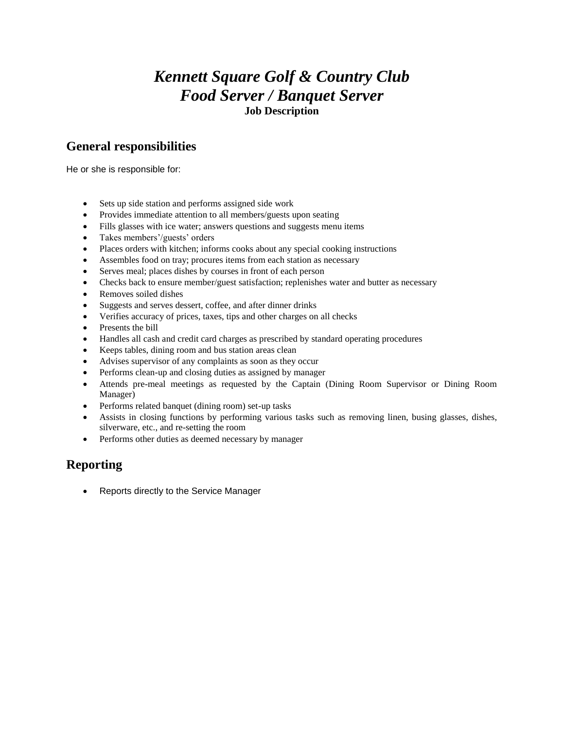## *Kennett Square Golf & Country Club Food Server / Banquet Server* **Job Description**

### **General responsibilities**

He or she is responsible for:

- Sets up side station and performs assigned side work
- Provides immediate attention to all members/guests upon seating
- Fills glasses with ice water; answers questions and suggests menu items
- Takes members'/guests' orders
- Places orders with kitchen; informs cooks about any special cooking instructions
- Assembles food on tray; procures items from each station as necessary
- Serves meal; places dishes by courses in front of each person
- Checks back to ensure member/guest satisfaction; replenishes water and butter as necessary
- Removes soiled dishes
- Suggests and serves dessert, coffee, and after dinner drinks
- Verifies accuracy of prices, taxes, tips and other charges on all checks
- Presents the bill
- Handles all cash and credit card charges as prescribed by standard operating procedures
- Keeps tables, dining room and bus station areas clean
- Advises supervisor of any complaints as soon as they occur
- Performs clean-up and closing duties as assigned by manager
- Attends pre-meal meetings as requested by the Captain (Dining Room Supervisor or Dining Room Manager)
- Performs related banquet (dining room) set-up tasks
- Assists in closing functions by performing various tasks such as removing linen, busing glasses, dishes, silverware, etc., and re-setting the room
- Performs other duties as deemed necessary by manager

#### **Reporting**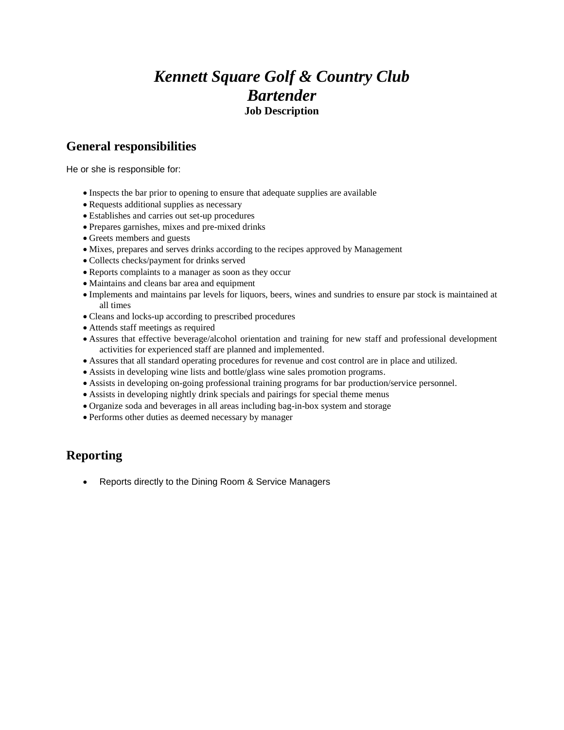## *Kennett Square Golf & Country Club Bartender* **Job Description**

#### **General responsibilities**

He or she is responsible for:

- Inspects the bar prior to opening to ensure that adequate supplies are available
- Requests additional supplies as necessary
- Establishes and carries out set-up procedures
- Prepares garnishes, mixes and pre-mixed drinks
- Greets members and guests
- Mixes, prepares and serves drinks according to the recipes approved by Management
- Collects checks/payment for drinks served
- Reports complaints to a manager as soon as they occur
- Maintains and cleans bar area and equipment
- Implements and maintains par levels for liquors, beers, wines and sundries to ensure par stock is maintained at all times
- Cleans and locks-up according to prescribed procedures
- Attends staff meetings as required
- Assures that effective beverage/alcohol orientation and training for new staff and professional development activities for experienced staff are planned and implemented.
- Assures that all standard operating procedures for revenue and cost control are in place and utilized.
- Assists in developing wine lists and bottle/glass wine sales promotion programs.
- Assists in developing on-going professional training programs for bar production/service personnel.
- Assists in developing nightly drink specials and pairings for special theme menus
- Organize soda and beverages in all areas including bag-in-box system and storage
- Performs other duties as deemed necessary by manager

#### **Reporting**

Reports directly to the Dining Room & Service Managers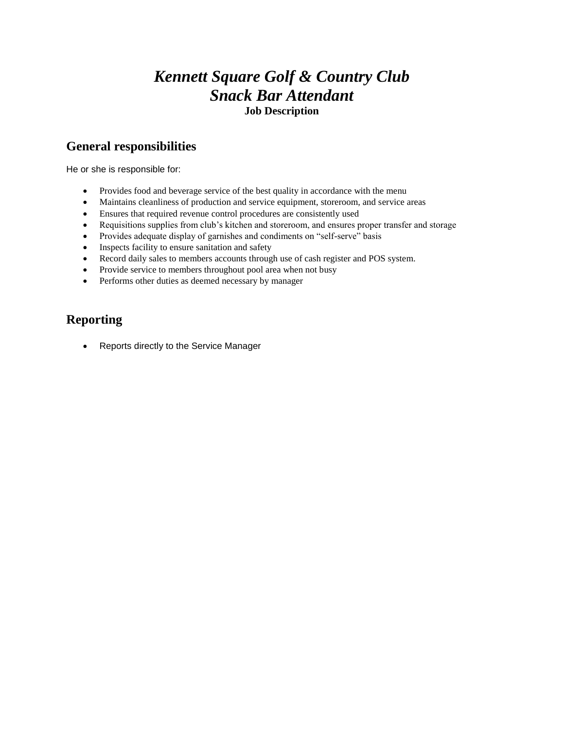## *Kennett Square Golf & Country Club Snack Bar Attendant* **Job Description**

#### **General responsibilities**

He or she is responsible for:

- Provides food and beverage service of the best quality in accordance with the menu
- Maintains cleanliness of production and service equipment, storeroom, and service areas
- Ensures that required revenue control procedures are consistently used
- Requisitions supplies from club's kitchen and storeroom, and ensures proper transfer and storage
- Provides adequate display of garnishes and condiments on "self-serve" basis
- Inspects facility to ensure sanitation and safety
- Record daily sales to members accounts through use of cash register and POS system.
- Provide service to members throughout pool area when not busy
- Performs other duties as deemed necessary by manager

#### **Reporting**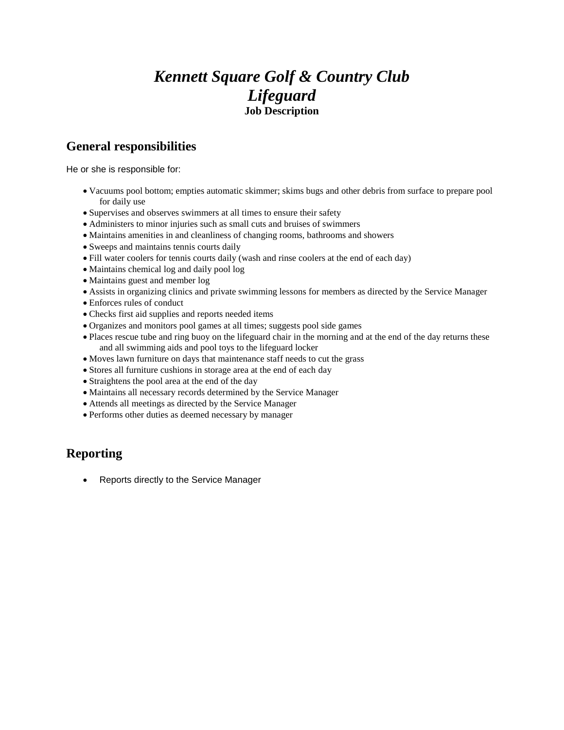# *Kennett Square Golf & Country Club Lifeguard* **Job Description**

### **General responsibilities**

He or she is responsible for:

- Vacuums pool bottom; empties automatic skimmer; skims bugs and other debris from surface to prepare pool for daily use
- Supervises and observes swimmers at all times to ensure their safety
- Administers to minor injuries such as small cuts and bruises of swimmers
- Maintains amenities in and cleanliness of changing rooms, bathrooms and showers
- Sweeps and maintains tennis courts daily
- Fill water coolers for tennis courts daily (wash and rinse coolers at the end of each day)
- Maintains chemical log and daily pool log
- Maintains guest and member log
- Assists in organizing clinics and private swimming lessons for members as directed by the Service Manager
- Enforces rules of conduct
- Checks first aid supplies and reports needed items
- Organizes and monitors pool games at all times; suggests pool side games
- Places rescue tube and ring buoy on the lifeguard chair in the morning and at the end of the day returns these and all swimming aids and pool toys to the lifeguard locker
- Moves lawn furniture on days that maintenance staff needs to cut the grass
- Stores all furniture cushions in storage area at the end of each day
- Straightens the pool area at the end of the day
- Maintains all necessary records determined by the Service Manager
- Attends all meetings as directed by the Service Manager
- Performs other duties as deemed necessary by manager

### **Reporting**